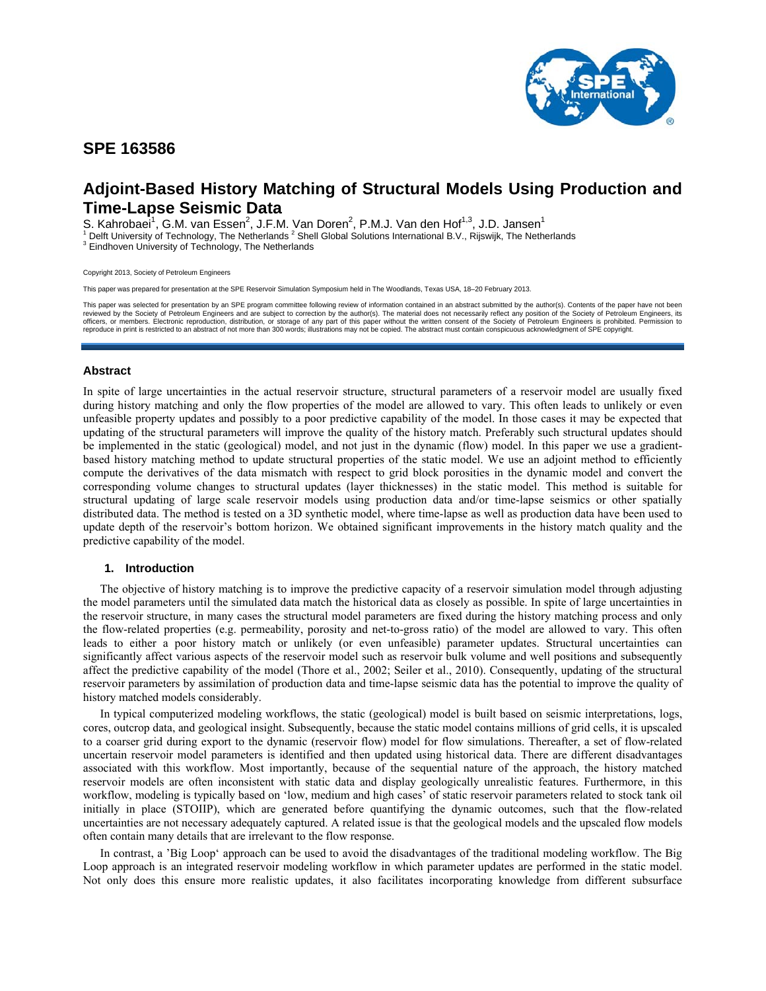

# **SPE 163586**

# **Adjoint-Based History Matching of Structural Models Using Production and Time-Lapse Seismic Data**

S. Kahrobaei<sup>1</sup>, G.M. van Essen<sup>2</sup>, J.F.M. Van Doren<sup>2</sup>, P.M.J. Van den Hof<sup>1,3</sup>, J.D. Jansen<sup>1</sup>

<sup>1</sup> Delft University of Technology, The Netherlands <sup>2</sup> Shell Global Solutions International B.V., Rijswijk, The Netherlands<br><sup>3</sup> Findbough University of Technology, The Netherlands

<sup>3</sup> Eindhoven University of Technology, The Netherlands

Copyright 2013, Society of Petroleum Engineers

This paper was prepared for presentation at the SPE Reservoir Simulation Symposium held in The Woodlands, Texas USA, 18–20 February 2013.

This paper was selected for presentation by an SPE program committee following review of information contained in an abstract submitted by the author(s). Contents of the paper have not been reviewed by the Society of Petroleum Engineers and are subject to correction by the author(s). The material does not necessarily reflect any position of the Society of Petroleum Engineers, its<br>officers, or members. Electro reproduce in print is restricted to an abstract of not more than 300 words; illustrations may not be copied. The abstract must contain conspicuous acknowledgment of SPE copyright.

## **Abstract**

In spite of large uncertainties in the actual reservoir structure, structural parameters of a reservoir model are usually fixed during history matching and only the flow properties of the model are allowed to vary. This often leads to unlikely or even unfeasible property updates and possibly to a poor predictive capability of the model. In those cases it may be expected that updating of the structural parameters will improve the quality of the history match. Preferably such structural updates should be implemented in the static (geological) model, and not just in the dynamic (flow) model. In this paper we use a gradientbased history matching method to update structural properties of the static model. We use an adjoint method to efficiently compute the derivatives of the data mismatch with respect to grid block porosities in the dynamic model and convert the corresponding volume changes to structural updates (layer thicknesses) in the static model. This method is suitable for structural updating of large scale reservoir models using production data and/or time-lapse seismics or other spatially distributed data. The method is tested on a 3D synthetic model, where time-lapse as well as production data have been used to update depth of the reservoir's bottom horizon. We obtained significant improvements in the history match quality and the predictive capability of the model.

## **1. Introduction**

The objective of history matching is to improve the predictive capacity of a reservoir simulation model through adjusting the model parameters until the simulated data match the historical data as closely as possible. In spite of large uncertainties in the reservoir structure, in many cases the structural model parameters are fixed during the history matching process and only the flow-related properties (e.g. permeability, porosity and net-to-gross ratio) of the model are allowed to vary. This often leads to either a poor history match or unlikely (or even unfeasible) parameter updates. Structural uncertainties can significantly affect various aspects of the reservoir model such as reservoir bulk volume and well positions and subsequently affect the predictive capability of the model (Thore et al., 2002; Seiler et al., 2010). Consequently, updating of the structural reservoir parameters by assimilation of production data and time-lapse seismic data has the potential to improve the quality of history matched models considerably.

In typical computerized modeling workflows, the static (geological) model is built based on seismic interpretations, logs, cores, outcrop data, and geological insight. Subsequently, because the static model contains millions of grid cells, it is upscaled to a coarser grid during export to the dynamic (reservoir flow) model for flow simulations. Thereafter, a set of flow-related uncertain reservoir model parameters is identified and then updated using historical data. There are different disadvantages associated with this workflow. Most importantly, because of the sequential nature of the approach, the history matched reservoir models are often inconsistent with static data and display geologically unrealistic features. Furthermore, in this workflow, modeling is typically based on 'low, medium and high cases' of static reservoir parameters related to stock tank oil initially in place (STOIIP), which are generated before quantifying the dynamic outcomes, such that the flow-related uncertainties are not necessary adequately captured. A related issue is that the geological models and the upscaled flow models often contain many details that are irrelevant to the flow response.

In contrast, a 'Big Loop' approach can be used to avoid the disadvantages of the traditional modeling workflow. The Big Loop approach is an integrated reservoir modeling workflow in which parameter updates are performed in the static model. Not only does this ensure more realistic updates, it also facilitates incorporating knowledge from different subsurface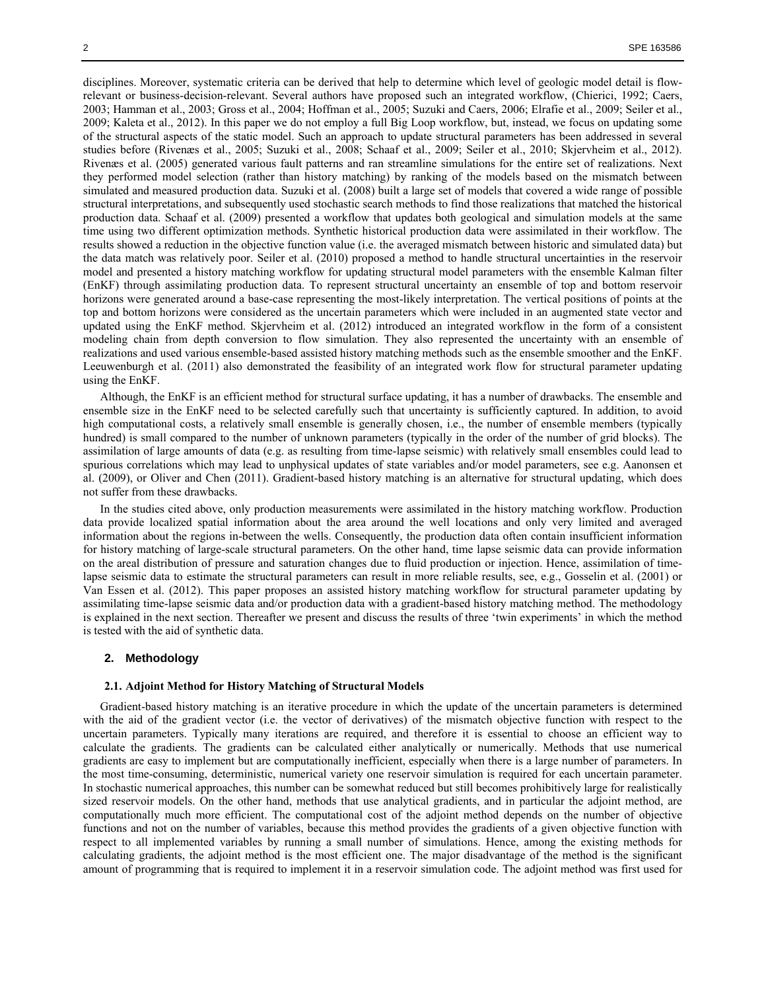disciplines. Moreover, systematic criteria can be derived that help to determine which level of geologic model detail is flowrelevant or business-decision-relevant. Several authors have proposed such an integrated workflow, (Chierici, 1992; Caers, 2003; Hamman et al., 2003; Gross et al., 2004; Hoffman et al., 2005; Suzuki and Caers, 2006; Elrafie et al., 2009; Seiler et al., 2009; Kaleta et al., 2012). In this paper we do not employ a full Big Loop workflow, but, instead, we focus on updating some of the structural aspects of the static model. Such an approach to update structural parameters has been addressed in several studies before (Rivenæs et al., 2005; Suzuki et al., 2008; Schaaf et al., 2009; Seiler et al., 2010; Skjervheim et al., 2012). Rivenæs et al. (2005) generated various fault patterns and ran streamline simulations for the entire set of realizations. Next they performed model selection (rather than history matching) by ranking of the models based on the mismatch between simulated and measured production data. Suzuki et al. (2008) built a large set of models that covered a wide range of possible structural interpretations, and subsequently used stochastic search methods to find those realizations that matched the historical production data. Schaaf et al. (2009) presented a workflow that updates both geological and simulation models at the same time using two different optimization methods. Synthetic historical production data were assimilated in their workflow. The results showed a reduction in the objective function value (i.e. the averaged mismatch between historic and simulated data) but the data match was relatively poor. Seiler et al. (2010) proposed a method to handle structural uncertainties in the reservoir model and presented a history matching workflow for updating structural model parameters with the ensemble Kalman filter (EnKF) through assimilating production data. To represent structural uncertainty an ensemble of top and bottom reservoir horizons were generated around a base-case representing the most-likely interpretation. The vertical positions of points at the top and bottom horizons were considered as the uncertain parameters which were included in an augmented state vector and updated using the EnKF method. Skjervheim et al. (2012) introduced an integrated workflow in the form of a consistent modeling chain from depth conversion to flow simulation. They also represented the uncertainty with an ensemble of realizations and used various ensemble-based assisted history matching methods such as the ensemble smoother and the EnKF. Leeuwenburgh et al. (2011) also demonstrated the feasibility of an integrated work flow for structural parameter updating using the EnKF.

Although, the EnKF is an efficient method for structural surface updating, it has a number of drawbacks. The ensemble and ensemble size in the EnKF need to be selected carefully such that uncertainty is sufficiently captured. In addition, to avoid high computational costs, a relatively small ensemble is generally chosen, i.e., the number of ensemble members (typically hundred) is small compared to the number of unknown parameters (typically in the order of the number of grid blocks). The assimilation of large amounts of data (e.g. as resulting from time-lapse seismic) with relatively small ensembles could lead to spurious correlations which may lead to unphysical updates of state variables and/or model parameters, see e.g. Aanonsen et al. (2009), or Oliver and Chen (2011). Gradient-based history matching is an alternative for structural updating, which does not suffer from these drawbacks.

In the studies cited above, only production measurements were assimilated in the history matching workflow. Production data provide localized spatial information about the area around the well locations and only very limited and averaged information about the regions in-between the wells. Consequently, the production data often contain insufficient information for history matching of large-scale structural parameters. On the other hand, time lapse seismic data can provide information on the areal distribution of pressure and saturation changes due to fluid production or injection. Hence, assimilation of timelapse seismic data to estimate the structural parameters can result in more reliable results, see, e.g., Gosselin et al. (2001) or Van Essen et al. (2012). This paper proposes an assisted history matching workflow for structural parameter updating by assimilating time-lapse seismic data and/or production data with a gradient-based history matching method. The methodology is explained in the next section. Thereafter we present and discuss the results of three 'twin experiments' in which the method is tested with the aid of synthetic data.

## **2. Methodology**

#### **2.1. Adjoint Method for History Matching of Structural Models**

Gradient-based history matching is an iterative procedure in which the update of the uncertain parameters is determined with the aid of the gradient vector (i.e. the vector of derivatives) of the mismatch objective function with respect to the uncertain parameters. Typically many iterations are required, and therefore it is essential to choose an efficient way to calculate the gradients. The gradients can be calculated either analytically or numerically. Methods that use numerical gradients are easy to implement but are computationally inefficient, especially when there is a large number of parameters. In the most time-consuming, deterministic, numerical variety one reservoir simulation is required for each uncertain parameter. In stochastic numerical approaches, this number can be somewhat reduced but still becomes prohibitively large for realistically sized reservoir models. On the other hand, methods that use analytical gradients, and in particular the adjoint method, are computationally much more efficient. The computational cost of the adjoint method depends on the number of objective functions and not on the number of variables, because this method provides the gradients of a given objective function with respect to all implemented variables by running a small number of simulations. Hence, among the existing methods for calculating gradients, the adjoint method is the most efficient one. The major disadvantage of the method is the significant amount of programming that is required to implement it in a reservoir simulation code. The adjoint method was first used for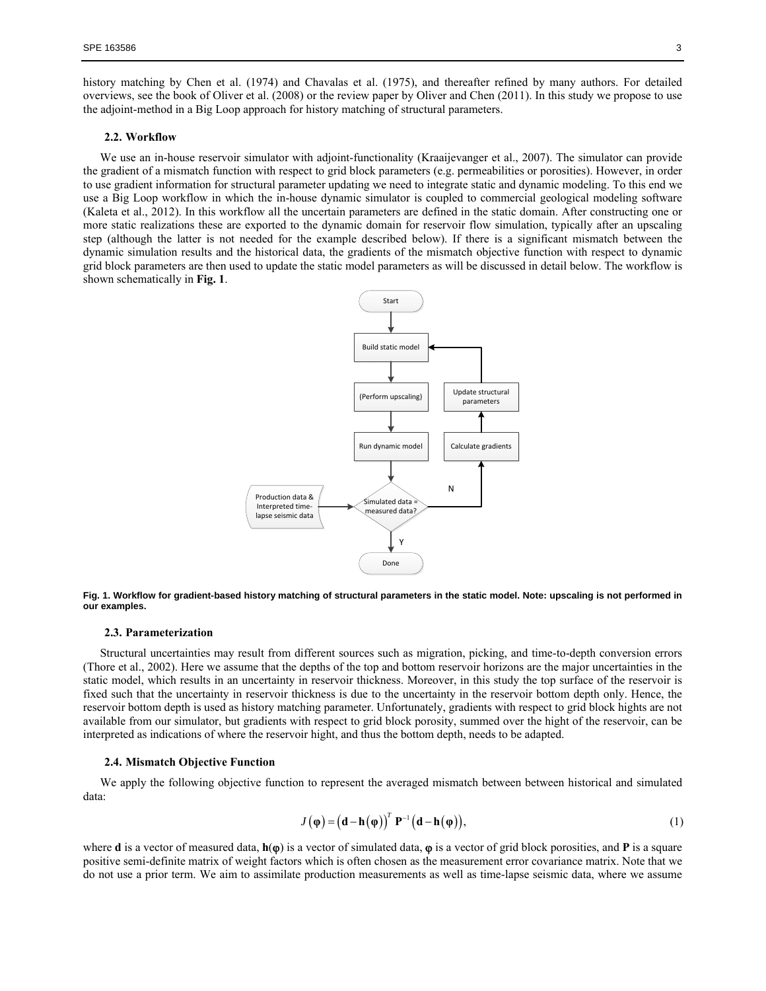history matching by Chen et al. (1974) and Chavalas et al. (1975), and thereafter refined by many authors. For detailed overviews, see the book of Oliver et al. (2008) or the review paper by Oliver and Chen (2011). In this study we propose to use the adjoint-method in a Big Loop approach for history matching of structural parameters.

#### **2.2. Workflow**

We use an in-house reservoir simulator with adjoint-functionality (Kraaijevanger et al., 2007). The simulator can provide the gradient of a mismatch function with respect to grid block parameters (e.g. permeabilities or porosities). However, in order to use gradient information for structural parameter updating we need to integrate static and dynamic modeling. To this end we use a Big Loop workflow in which the in-house dynamic simulator is coupled to commercial geological modeling software (Kaleta et al., 2012). In this workflow all the uncertain parameters are defined in the static domain. After constructing one or more static realizations these are exported to the dynamic domain for reservoir flow simulation, typically after an upscaling step (although the latter is not needed for the example described below). If there is a significant mismatch between the dynamic simulation results and the historical data, the gradients of the mismatch objective function with respect to dynamic grid block parameters are then used to update the static model parameters as will be discussed in detail below. The workflow is shown schematically in **Fig. 1**.



**Fig. 1. Workflow for gradient-based history matching of structural parameters in the static model. Note: upscaling is not performed in our examples.** 

#### **2.3. Parameterization**

Structural uncertainties may result from different sources such as migration, picking, and time-to-depth conversion errors (Thore et al., 2002). Here we assume that the depths of the top and bottom reservoir horizons are the major uncertainties in the static model, which results in an uncertainty in reservoir thickness. Moreover, in this study the top surface of the reservoir is fixed such that the uncertainty in reservoir thickness is due to the uncertainty in the reservoir bottom depth only. Hence, the reservoir bottom depth is used as history matching parameter. Unfortunately, gradients with respect to grid block hights are not available from our simulator, but gradients with respect to grid block porosity, summed over the hight of the reservoir, can be interpreted as indications of where the reservoir hight, and thus the bottom depth, needs to be adapted.

#### **2.4. Mismatch Objective Function**

We apply the following objective function to represent the averaged mismatch between between historical and simulated data:

$$
J(\varphi) = (d - h(\varphi))^{T} P^{-1} (d - h(\varphi)),
$$
\n(1)

where **d** is a vector of measured data,  $h(\varphi)$  is a vector of simulated data,  $\varphi$  is a vector of grid block porosities, and **P** is a square positive semi-definite matrix of weight factors which is often chosen as the measurement error covariance matrix. Note that we do not use a prior term. We aim to assimilate production measurements as well as time-lapse seismic data, where we assume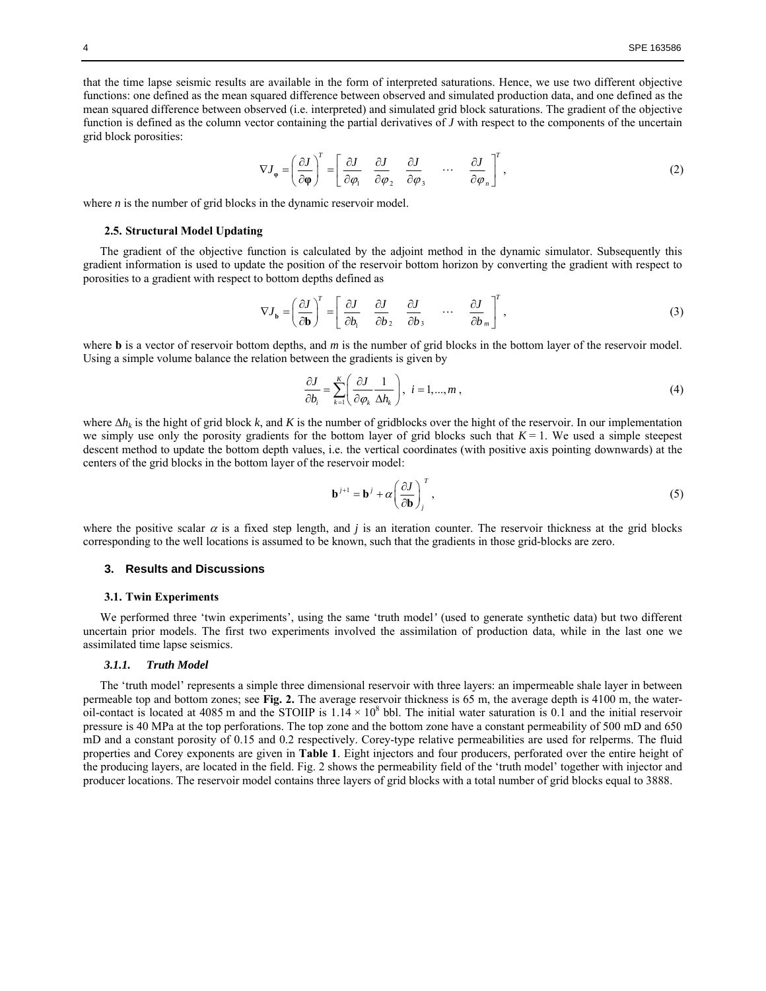that the time lapse seismic results are available in the form of interpreted saturations. Hence, we use two different objective functions: one defined as the mean squared difference between observed and simulated production data, and one defined as the mean squared difference between observed (i.e. interpreted) and simulated grid block saturations. The gradient of the objective function is defined as the column vector containing the partial derivatives of *J* with respect to the components of the uncertain grid block porosities:

$$
\nabla J_{\varphi} = \left(\frac{\partial J}{\partial \varphi}\right)^{T} = \left[\frac{\partial J}{\partial \varphi_{1}} \quad \frac{\partial J}{\partial \varphi_{2}} \quad \frac{\partial J}{\partial \varphi_{3}} \quad \cdots \quad \frac{\partial J}{\partial \varphi_{n}}\right]^{T},\tag{2}
$$

where *n* is the number of grid blocks in the dynamic reservoir model.

#### **2.5. Structural Model Updating**

The gradient of the objective function is calculated by the adjoint method in the dynamic simulator. Subsequently this gradient information is used to update the position of the reservoir bottom horizon by converting the gradient with respect to porosities to a gradient with respect to bottom depths defined as

$$
\nabla J_{\mathbf{b}} = \left(\frac{\partial J}{\partial \mathbf{b}}\right)^{T} = \left[\begin{array}{cccc} \frac{\partial J}{\partial b_{1}} & \frac{\partial J}{\partial b_{2}} & \frac{\partial J}{\partial b_{3}} & \cdots & \frac{\partial J}{\partial b_{m}}\end{array}\right]^{T},
$$
\n(3)

where **b** is a vector of reservoir bottom depths, and *m* is the number of grid blocks in the bottom layer of the reservoir model. Using a simple volume balance the relation between the gradients is given by

$$
\frac{\partial J}{\partial b_i} = \sum_{k=1}^{K} \left( \frac{\partial J}{\partial \varphi_k} \frac{1}{\Delta h_k} \right), \quad i = 1, ..., m \tag{4}
$$

where  $\Delta h_k$  is the hight of grid block k, and K is the number of gridblocks over the hight of the reservoir. In our implementation we simply use only the porosity gradients for the bottom layer of grid blocks such that  $K = 1$ . We used a simple steepest descent method to update the bottom depth values, i.e. the vertical coordinates (with positive axis pointing downwards) at the centers of the grid blocks in the bottom layer of the reservoir model:

$$
\mathbf{b}^{j+1} = \mathbf{b}^j + \alpha \left(\frac{\partial J}{\partial \mathbf{b}}\right)_j^T, \tag{5}
$$

where the positive scalar  $\alpha$  is a fixed step length, and *j* is an iteration counter. The reservoir thickness at the grid blocks corresponding to the well locations is assumed to be known, such that the gradients in those grid-blocks are zero.

#### **3. Results and Discussions**

#### **3.1. Twin Experiments**

We performed three 'twin experiments', using the same 'truth model*'* (used to generate synthetic data) but two different uncertain prior models. The first two experiments involved the assimilation of production data, while in the last one we assimilated time lapse seismics.

### *3.1.1. Truth Model*

The 'truth model' represents a simple three dimensional reservoir with three layers: an impermeable shale layer in between permeable top and bottom zones; see **Fig. 2.** The average reservoir thickness is 65 m, the average depth is 4100 m, the wateroil-contact is located at 4085 m and the STOIIP is  $1.14 \times 10^8$  bbl. The initial water saturation is 0.1 and the initial reservoir pressure is 40 MPa at the top perforations. The top zone and the bottom zone have a constant permeability of 500 mD and 650 mD and a constant porosity of 0.15 and 0.2 respectively. Corey-type relative permeabilities are used for relperms. The fluid properties and Corey exponents are given in **Table 1**. Eight injectors and four producers, perforated over the entire height of the producing layers, are located in the field. Fig. 2 shows the permeability field of the 'truth model' together with injector and producer locations. The reservoir model contains three layers of grid blocks with a total number of grid blocks equal to 3888.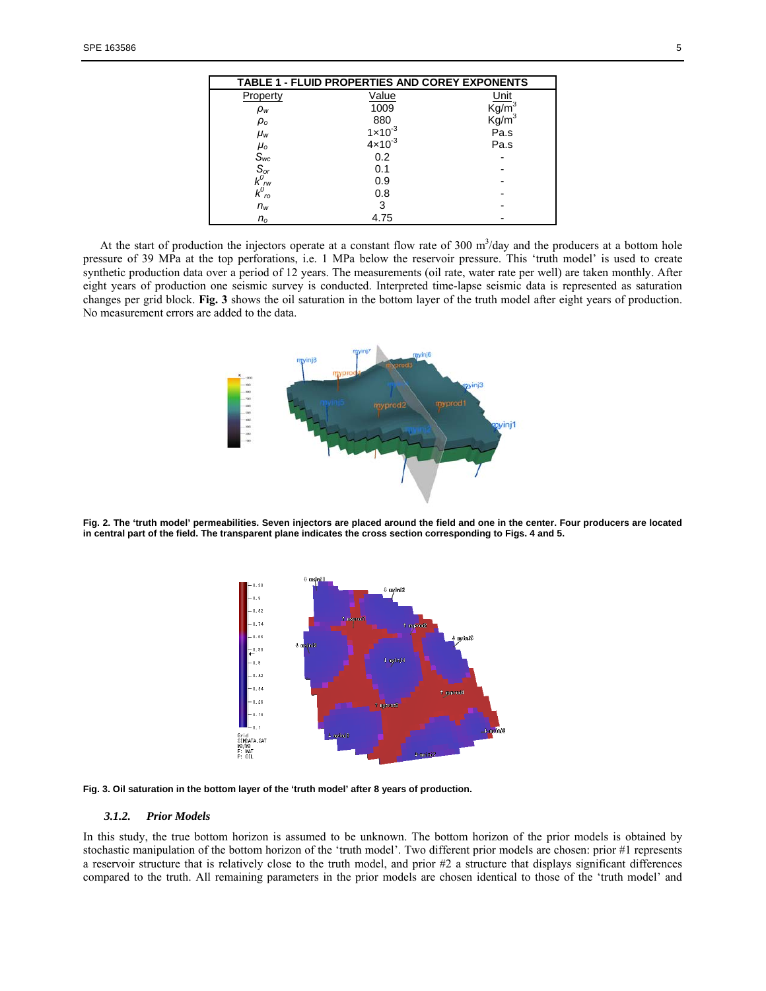| TABLE 1 - FLUID PROPERTIES AND COREY EXPONENTS                                                              |                    |                                   |
|-------------------------------------------------------------------------------------------------------------|--------------------|-----------------------------------|
| Property                                                                                                    | Value              | Unit                              |
| $\rho_w$                                                                                                    | 1009               | $\text{Kg/m}^3$                   |
| $\rho_{o}$                                                                                                  | 880                | $\overline{\text{Kg}}/\text{m}^3$ |
| $\mu_{w}$                                                                                                   | $1 \times 10^{-3}$ | Pa.s                              |
|                                                                                                             | $4 \times 10^{-3}$ | Pa.s                              |
| $\begin{array}{c}\nL_{\text{O}} \\ S_{\text{wc}} \\ S_{\text{or}} \\ K_{\text{gw}}^{\text{O}}\n\end{array}$ | 0.2                |                                   |
|                                                                                                             | 0.1                |                                   |
|                                                                                                             | 0.9                |                                   |
| $k_{\nu o}^{\rho m}$                                                                                        | 0.8                |                                   |
| $n_w$                                                                                                       | 3                  |                                   |
| $n_{o}$                                                                                                     | 4.75               |                                   |

At the start of production the injectors operate at a constant flow rate of  $300 \text{ m}^3/\text{day}$  and the producers at a bottom hole pressure of 39 MPa at the top perforations, i.e. 1 MPa below the reservoir pressure. This 'truth model' is used to create synthetic production data over a period of 12 years. The measurements (oil rate, water rate per well) are taken monthly. After eight years of production one seismic survey is conducted. Interpreted time-lapse seismic data is represented as saturation changes per grid block. **Fig. 3** shows the oil saturation in the bottom layer of the truth model after eight years of production. No measurement errors are added to the data.



**Fig. 2. The 'truth model' permeabilities. Seven injectors are placed around the field and one in the center. Four producers are located in central part of the field. The transparent plane indicates the cross section corresponding to Figs. 4 and 5.** 



**Fig. 3. Oil saturation in the bottom layer of the 'truth model' after 8 years of production.** 

#### *3.1.2. Prior Models*

In this study, the true bottom horizon is assumed to be unknown. The bottom horizon of the prior models is obtained by stochastic manipulation of the bottom horizon of the 'truth model'. Two different prior models are chosen: prior #1 represents a reservoir structure that is relatively close to the truth model, and prior #2 a structure that displays significant differences compared to the truth. All remaining parameters in the prior models are chosen identical to those of the 'truth model' and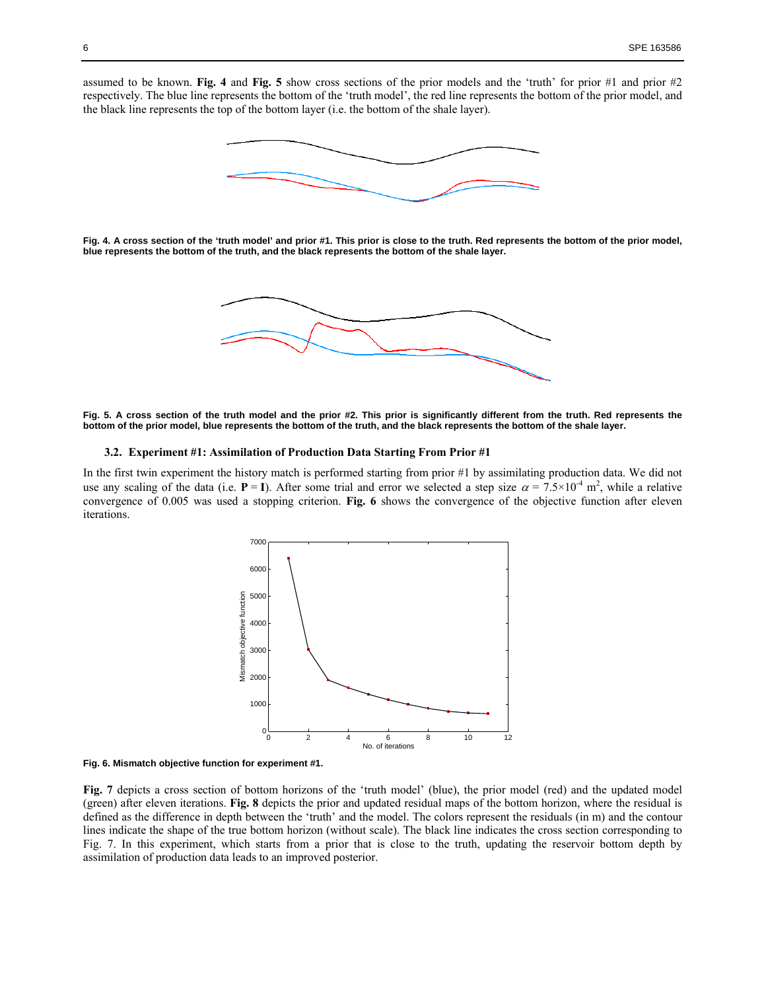assumed to be known. **Fig. 4** and **Fig. 5** show cross sections of the prior models and the 'truth' for prior #1 and prior #2 respectively. The blue line represents the bottom of the 'truth model', the red line represents the bottom of the prior model, and the black line represents the top of the bottom layer (i.e. the bottom of the shale layer).



**Fig. 4. A cross section of the 'truth model' and prior #1. This prior is close to the truth. Red represents the bottom of the prior model, blue represents the bottom of the truth, and the black represents the bottom of the shale layer.** 



**Fig. 5. A cross section of the truth model and the prior #2. This prior is significantly different from the truth. Red represents the bottom of the prior model, blue represents the bottom of the truth, and the black represents the bottom of the shale layer.** 

## **3.2. Experiment #1: Assimilation of Production Data Starting From Prior #1**

In the first twin experiment the history match is performed starting from prior #1 by assimilating production data. We did not use any scaling of the data (i.e.  $P = I$ ). After some trial and error we selected a step size  $\alpha = 7.5 \times 10^{-4}$  m<sup>2</sup>, while a relative convergence of 0.005 was used a stopping criterion. **Fig. 6** shows the convergence of the objective function after eleven iterations.





**Fig. 7** depicts a cross section of bottom horizons of the 'truth model' (blue), the prior model (red) and the updated model (green) after eleven iterations. **Fig. 8** depicts the prior and updated residual maps of the bottom horizon, where the residual is defined as the difference in depth between the 'truth' and the model. The colors represent the residuals (in m) and the contour lines indicate the shape of the true bottom horizon (without scale). The black line indicates the cross section corresponding to Fig. 7. In this experiment, which starts from a prior that is close to the truth, updating the reservoir bottom depth by assimilation of production data leads to an improved posterior.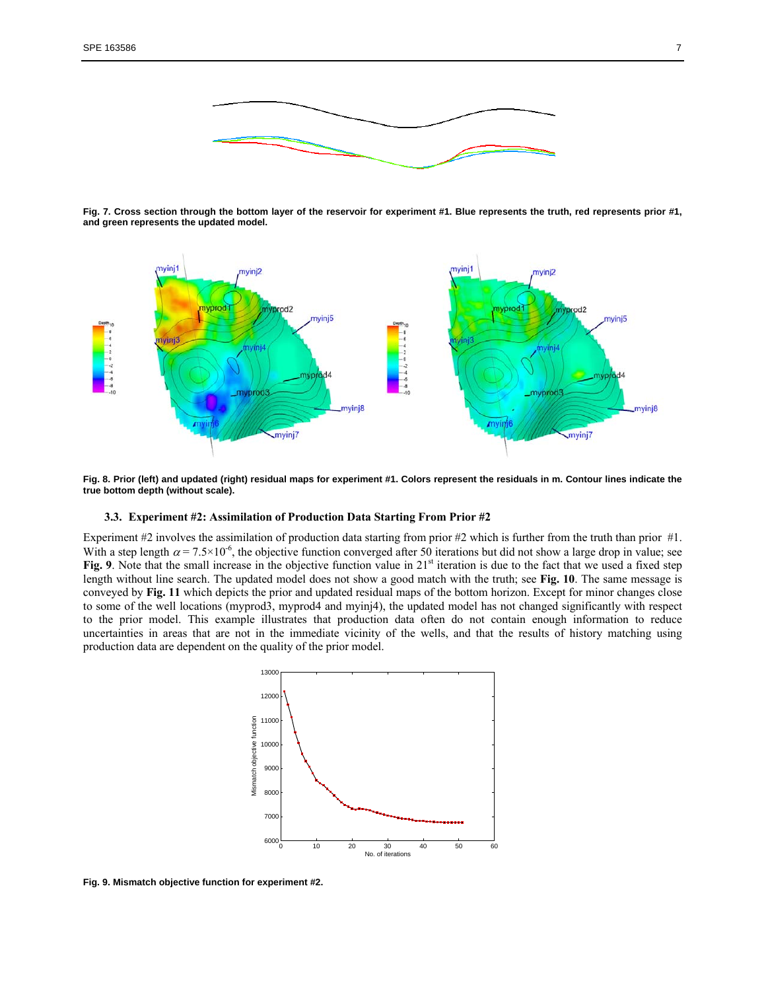

**Fig. 7. Cross section through the bottom layer of the reservoir for experiment #1. Blue represents the truth, red represents prior #1, and green represents the updated model.** 



**Fig. 8. Prior (left) and updated (right) residual maps for experiment #1. Colors represent the residuals in m. Contour lines indicate the true bottom depth (without scale).** 

## **3.3. Experiment #2: Assimilation of Production Data Starting From Prior #2**

Experiment #2 involves the assimilation of production data starting from prior #2 which is further from the truth than prior #1. With a step length  $\alpha = 7.5 \times 10^{-6}$ , the objective function converged after 50 iterations but did not show a large drop in value; see **Fig. 9**. Note that the small increase in the objective function value in 21<sup>st</sup> iteration is due to the fact that we used a fixed step length without line search. The updated model does not show a good match with the truth; see **Fig. 10**. The same message is conveyed by **Fig. 11** which depicts the prior and updated residual maps of the bottom horizon. Except for minor changes close to some of the well locations (myprod3, myprod4 and myinj4), the updated model has not changed significantly with respect to the prior model. This example illustrates that production data often do not contain enough information to reduce uncertainties in areas that are not in the immediate vicinity of the wells, and that the results of history matching using production data are dependent on the quality of the prior model.



**Fig. 9. Mismatch objective function for experiment #2.**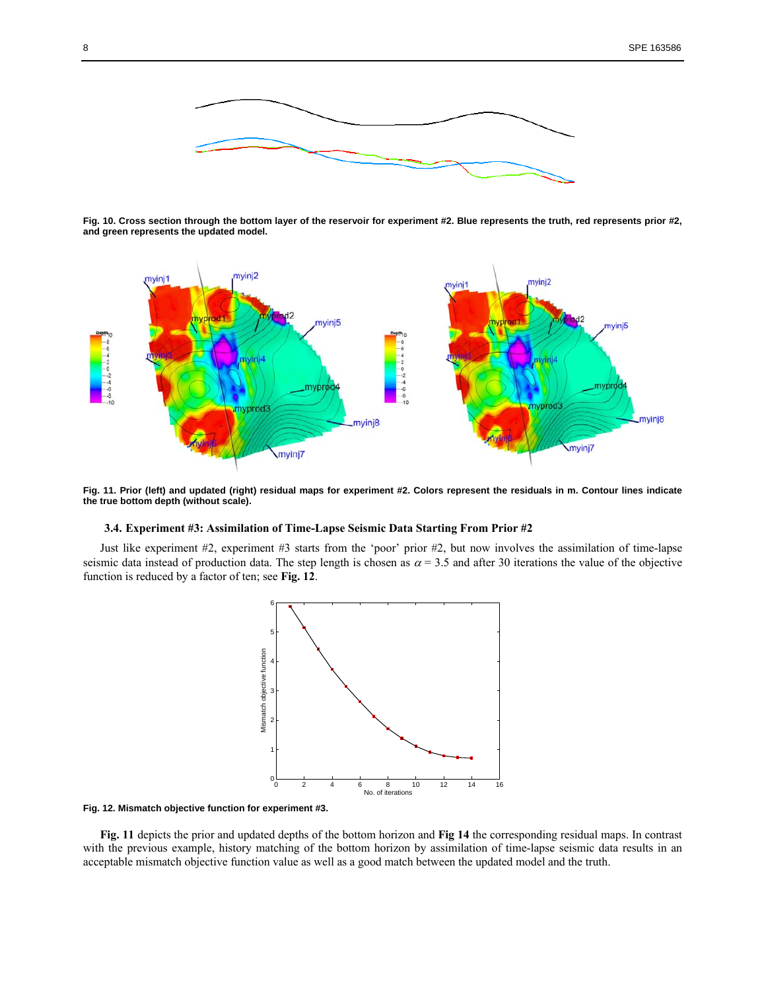

**Fig. 10. Cross section through the bottom layer of the reservoir for experiment #2. Blue represents the truth, red represents prior #2, and green represents the updated model.** 



**Fig. 11. Prior (left) and updated (right) residual maps for experiment #2. Colors represent the residuals in m. Contour lines indicate the true bottom depth (without scale).** 

## **3.4. Experiment #3: Assimilation of Time-Lapse Seismic Data Starting From Prior #2**

Just like experiment #2, experiment #3 starts from the 'poor' prior #2, but now involves the assimilation of time-lapse seismic data instead of production data. The step length is chosen as  $\alpha = 3.5$  and after 30 iterations the value of the objective function is reduced by a factor of ten; see **Fig. 12**.



**Fig. 12. Mismatch objective function for experiment #3.** 

**Fig. 11** depicts the prior and updated depths of the bottom horizon and **Fig 14** the corresponding residual maps. In contrast with the previous example, history matching of the bottom horizon by assimilation of time-lapse seismic data results in an acceptable mismatch objective function value as well as a good match between the updated model and the truth.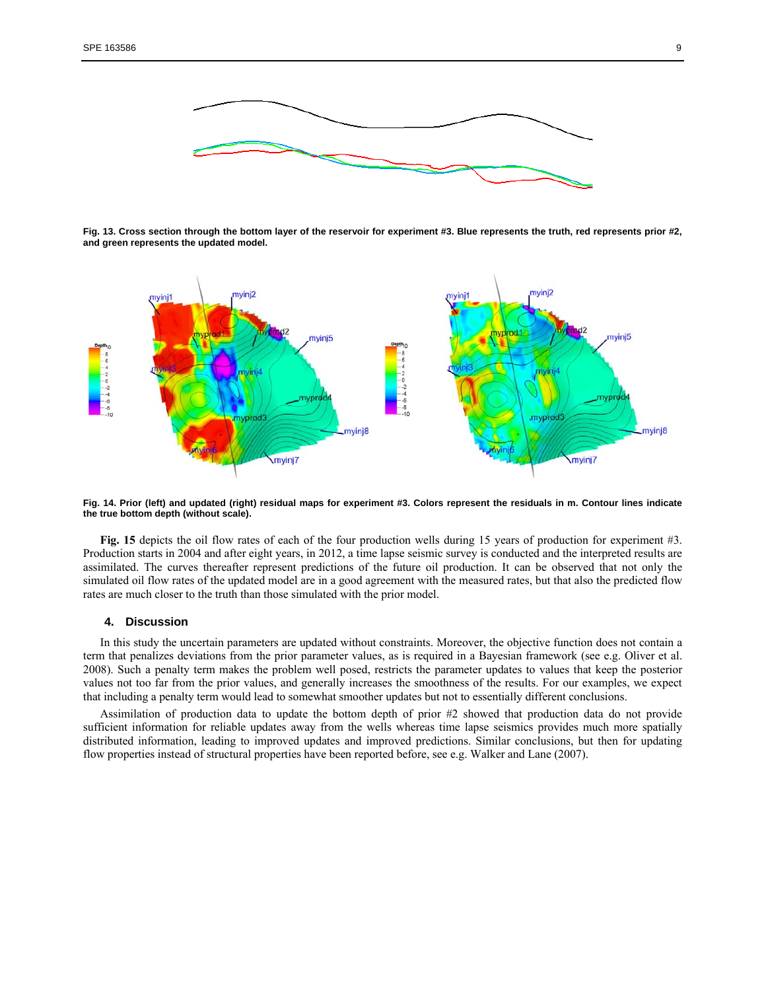

**Fig. 13. Cross section through the bottom layer of the reservoir for experiment #3. Blue represents the truth, red represents prior #2, and green represents the updated model.** 



**Fig. 14. Prior (left) and updated (right) residual maps for experiment #3. Colors represent the residuals in m. Contour lines indicate the true bottom depth (without scale).** 

**Fig. 15** depicts the oil flow rates of each of the four production wells during 15 years of production for experiment #3. Production starts in 2004 and after eight years, in 2012, a time lapse seismic survey is conducted and the interpreted results are assimilated. The curves thereafter represent predictions of the future oil production. It can be observed that not only the simulated oil flow rates of the updated model are in a good agreement with the measured rates, but that also the predicted flow rates are much closer to the truth than those simulated with the prior model.

#### **4. Discussion**

In this study the uncertain parameters are updated without constraints. Moreover, the objective function does not contain a term that penalizes deviations from the prior parameter values, as is required in a Bayesian framework (see e.g. Oliver et al. 2008). Such a penalty term makes the problem well posed, restricts the parameter updates to values that keep the posterior values not too far from the prior values, and generally increases the smoothness of the results. For our examples, we expect that including a penalty term would lead to somewhat smoother updates but not to essentially different conclusions.

Assimilation of production data to update the bottom depth of prior #2 showed that production data do not provide sufficient information for reliable updates away from the wells whereas time lapse seismics provides much more spatially distributed information, leading to improved updates and improved predictions. Similar conclusions, but then for updating flow properties instead of structural properties have been reported before, see e.g. Walker and Lane (2007).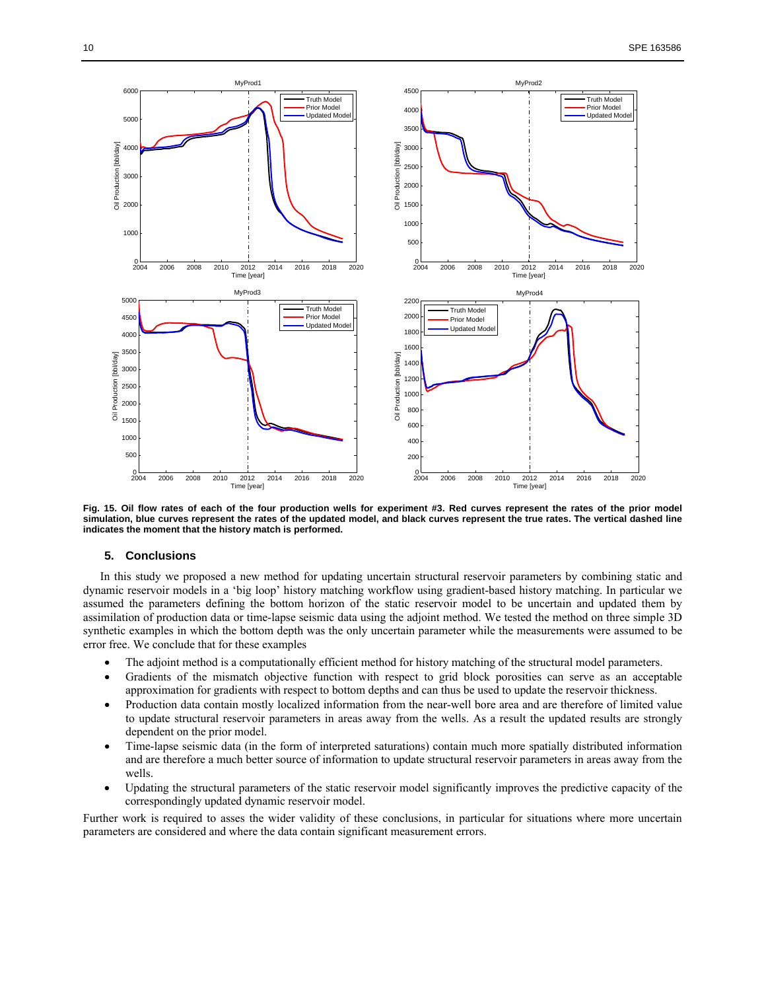

**Fig. 15. Oil flow rates of each of the four production wells for experiment #3. Red curves represent the rates of the prior model simulation, blue curves represent the rates of the updated model, and black curves represent the true rates. The vertical dashed line indicates the moment that the history match is performed.** 

## **5. Conclusions**

In this study we proposed a new method for updating uncertain structural reservoir parameters by combining static and dynamic reservoir models in a 'big loop' history matching workflow using gradient-based history matching. In particular we assumed the parameters defining the bottom horizon of the static reservoir model to be uncertain and updated them by assimilation of production data or time-lapse seismic data using the adjoint method. We tested the method on three simple 3D synthetic examples in which the bottom depth was the only uncertain parameter while the measurements were assumed to be error free. We conclude that for these examples

- The adjoint method is a computationally efficient method for history matching of the structural model parameters.
- Gradients of the mismatch objective function with respect to grid block porosities can serve as an acceptable approximation for gradients with respect to bottom depths and can thus be used to update the reservoir thickness.
- Production data contain mostly localized information from the near-well bore area and are therefore of limited value to update structural reservoir parameters in areas away from the wells. As a result the updated results are strongly dependent on the prior model.
- Time-lapse seismic data (in the form of interpreted saturations) contain much more spatially distributed information and are therefore a much better source of information to update structural reservoir parameters in areas away from the wells.
- Updating the structural parameters of the static reservoir model significantly improves the predictive capacity of the correspondingly updated dynamic reservoir model.

Further work is required to asses the wider validity of these conclusions, in particular for situations where more uncertain parameters are considered and where the data contain significant measurement errors.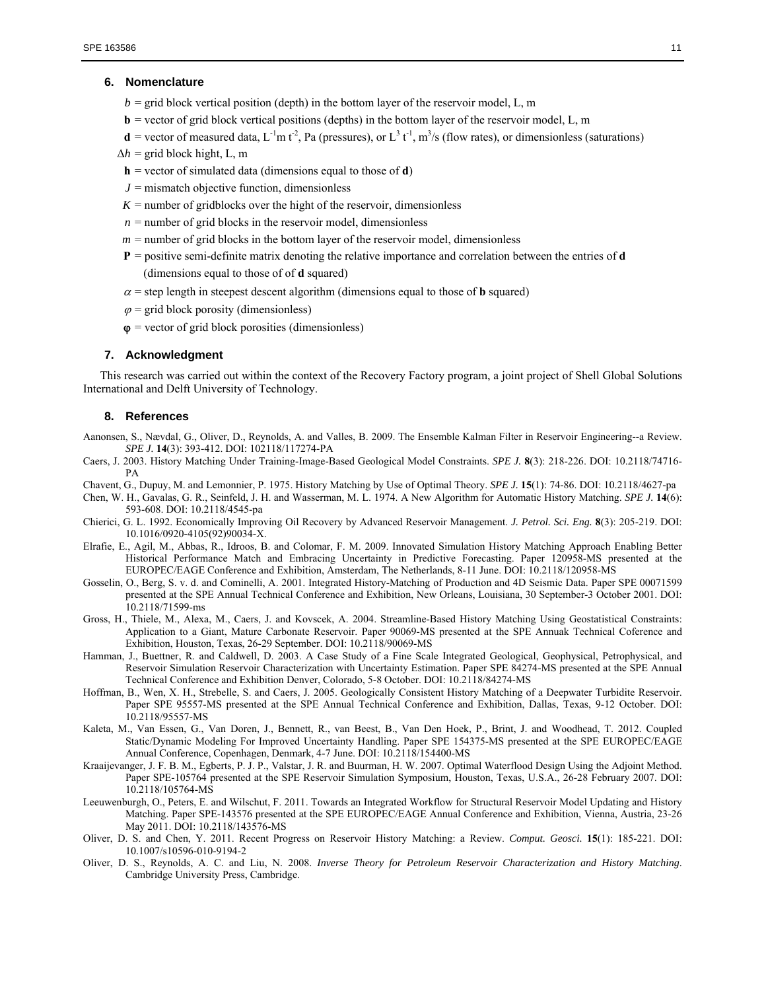## **6. Nomenclature**

- $b =$  grid block vertical position (depth) in the bottom layer of the reservoir model, L, m
- **= vector of grid block vertical positions (depths) in the bottom layer of the reservoir model, L, m**
- $d$  = vector of measured data, L<sup>-1</sup>m t<sup>-2</sup>, Pa (pressures), or L<sup>3</sup> t<sup>-1</sup>, m<sup>3</sup>/s (flow rates), or dimensionless (saturations)
- $\Delta h$  = grid block hight, L, m
- **h** = vector of simulated data (dimensions equal to those of **d**)
- $J =$  mismatch objective function, dimensionless
- $K =$  number of gridblocks over the hight of the reservoir, dimensionless
- $n =$  number of grid blocks in the reservoir model, dimensionless
- $m =$  number of grid blocks in the bottom layer of the reservoir model, dimensionless
- **P** = positive semi-definite matrix denoting the relative importance and correlation between the entries of **d** (dimensions equal to those of of **d** squared)
- $\alpha$  = step length in steepest descent algorithm (dimensions equal to those of **b** squared)
- $\varphi$  = grid block porosity (dimensionless)
- $\varphi$  = vector of grid block porosities (dimensionless)

## **7. Acknowledgment**

This research was carried out within the context of the Recovery Factory program, a joint project of Shell Global Solutions International and Delft University of Technology.

#### **8. References**

- Aanonsen, S., Nævdal, G., Oliver, D., Reynolds, A. and Valles, B. 2009. The Ensemble Kalman Filter in Reservoir Engineering--a Review. *SPE J.* **14**(3): 393-412. DOI: 102118/117274-PA
- Caers, J. 2003. History Matching Under Training-Image-Based Geological Model Constraints. *SPE J.* **8**(3): 218-226. DOI: 10.2118/74716- PA
- Chavent, G., Dupuy, M. and Lemonnier, P. 1975. History Matching by Use of Optimal Theory. *SPE J.* **15**(1): 74-86. DOI: 10.2118/4627-pa
- Chen, W. H., Gavalas, G. R., Seinfeld, J. H. and Wasserman, M. L. 1974. A New Algorithm for Automatic History Matching. *SPE J.* **14**(6): 593-608. DOI: 10.2118/4545-pa
- Chierici, G. L. 1992. Economically Improving Oil Recovery by Advanced Reservoir Management. *J. Petrol. Sci. Eng.* **8**(3): 205-219. DOI: 10.1016/0920-4105(92)90034-X.
- Elrafie, E., Agil, M., Abbas, R., Idroos, B. and Colomar, F. M. 2009. Innovated Simulation History Matching Approach Enabling Better Historical Performance Match and Embracing Uncertainty in Predictive Forecasting. Paper 120958-MS presented at the EUROPEC/EAGE Conference and Exhibition, Amsterdam, The Netherlands, 8-11 June. DOI: 10.2118/120958-MS
- Gosselin, O., Berg, S. v. d. and Cominelli, A. 2001. Integrated History-Matching of Production and 4D Seismic Data. Paper SPE 00071599 presented at the SPE Annual Technical Conference and Exhibition, New Orleans, Louisiana, 30 September-3 October 2001. DOI: 10.2118/71599-ms
- Gross, H., Thiele, M., Alexa, M., Caers, J. and Kovscek, A. 2004. Streamline-Based History Matching Using Geostatistical Constraints: Application to a Giant, Mature Carbonate Reservoir. Paper 90069-MS presented at the SPE Annuak Technical Coference and Exhibition, Houston, Texas, 26-29 September. DOI: 10.2118/90069-MS
- Hamman, J., Buettner, R. and Caldwell, D. 2003. A Case Study of a Fine Scale Integrated Geological, Geophysical, Petrophysical, and Reservoir Simulation Reservoir Characterization with Uncertainty Estimation. Paper SPE 84274-MS presented at the SPE Annual Technical Conference and Exhibition Denver, Colorado, 5-8 October. DOI: 10.2118/84274-MS
- Hoffman, B., Wen, X. H., Strebelle, S. and Caers, J. 2005. Geologically Consistent History Matching of a Deepwater Turbidite Reservoir. Paper SPE 95557-MS presented at the SPE Annual Technical Conference and Exhibition, Dallas, Texas, 9-12 October. DOI: 10.2118/95557-MS
- Kaleta, M., Van Essen, G., Van Doren, J., Bennett, R., van Beest, B., Van Den Hoek, P., Brint, J. and Woodhead, T. 2012. Coupled Static/Dynamic Modeling For Improved Uncertainty Handling. Paper SPE 154375-MS presented at the SPE EUROPEC/EAGE Annual Conference, Copenhagen, Denmark, 4-7 June. DOI: 10.2118/154400-MS
- Kraaijevanger, J. F. B. M., Egberts, P. J. P., Valstar, J. R. and Buurman, H. W. 2007. Optimal Waterflood Design Using the Adjoint Method. Paper SPE-105764 presented at the SPE Reservoir Simulation Symposium, Houston, Texas, U.S.A., 26-28 February 2007. DOI: 10.2118/105764-MS
- Leeuwenburgh, O., Peters, E. and Wilschut, F. 2011. Towards an Integrated Workflow for Structural Reservoir Model Updating and History Matching. Paper SPE-143576 presented at the SPE EUROPEC/EAGE Annual Conference and Exhibition, Vienna, Austria, 23-26 May 2011. DOI: 10.2118/143576-MS
- Oliver, D. S. and Chen, Y. 2011. Recent Progress on Reservoir History Matching: a Review. *Comput. Geosci.* **15**(1): 185-221. DOI: 10.1007/s10596-010-9194-2
- Oliver, D. S., Reynolds, A. C. and Liu, N. 2008. *Inverse Theory for Petroleum Reservoir Characterization and History Matching*. Cambridge University Press, Cambridge.